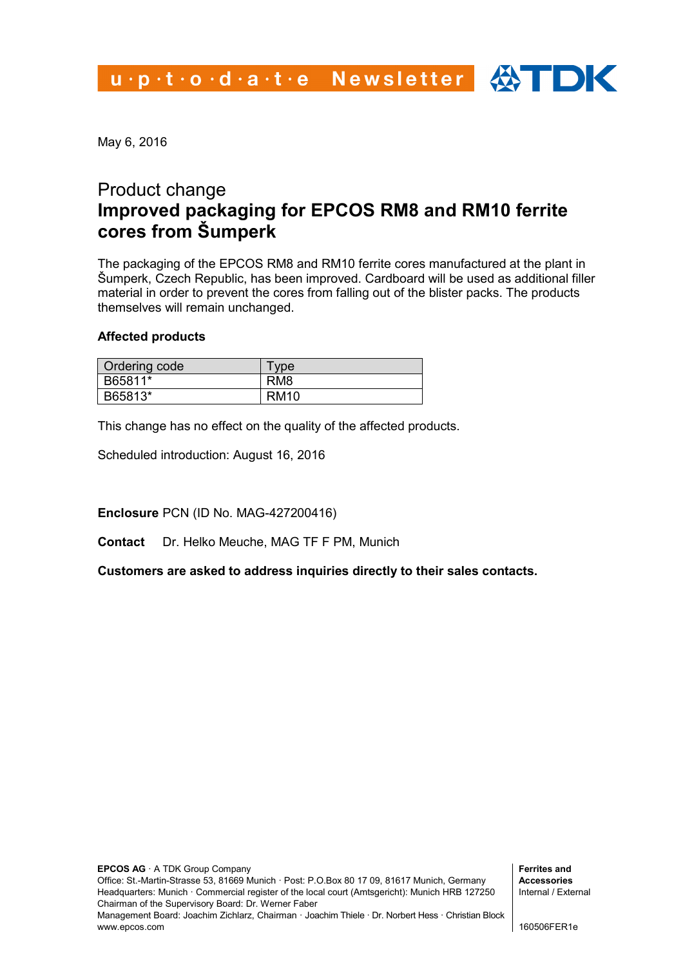May 6, 2016

## Product change **Improved packaging for EPCOS RM8 and RM10 ferrite cores from Šumperk**

The packaging of the EPCOS RM8 and RM10 ferrite cores manufactured at the plant in Šumperk, Czech Republic, has been improved. Cardboard will be used as additional filler material in order to prevent the cores from falling out of the blister packs. The products themselves will remain unchanged.

## **Affected products**

| Ordering code | vpe             |
|---------------|-----------------|
| B65811*       | RM <sub>8</sub> |
| B65813*       | RM10            |

This change has no effect on the quality of the affected products.

Scheduled introduction: August 16, 2016

**Enclosure** PCN (ID No. MAG-427200416)

**Contact** Dr. Helko Meuche, MAG TF F PM, Munich

**Customers are asked to address inquiries directly to their sales contacts.**

**Ferrites and Accessories** Internal / External